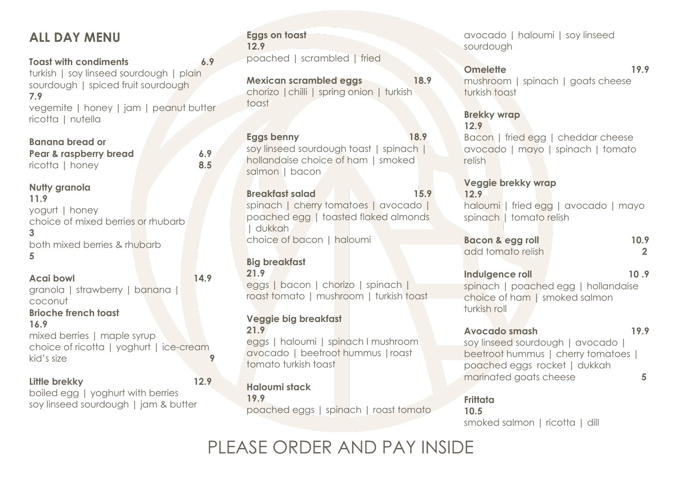# **ALL DAY MENU**

**Toast with condiments 6.9** turkish | soy linseed sourdough | plain sourdough | spiced fruit sourdough **7.9** vegemite | honey | jam | peanut butter ricotta | nutella

**Banana bread or Pear & raspberry bread 6.9** ricotta | honey **8.5**

**Nutty granola 11.9** yogurt | honey choice of mixed berries or rhubarb **3** both mixed berries & rhubarb **5**

**Acai bowl 14.9** granola | strawberry | banana | coconut

**Brioche french toast**

**16.9** mixed berries | maple syrup choice of ricotta | yoghurt | ice-cream kid's size

#### **Little brekky 12.9**

boiled egg | yoghurt with berries soy linseed sourdough | jam & butter

### **Eggs on toast 12.9** poached | scrambled | fried

**Mexican scrambled eggs 18.9** chorizo |chilli | spring onion | turkish toast

**Eggs benny 18.9** soy linseed sourdough toast | spinach | hollandaise choice of ham I smoked salmon | bacon

**Breakfast salad 15.9** spinach | cherry tomatoes | avocado | poached egg | toasted flaked almonds | dukkah choice of bacon | haloumi

#### **Big breakfast**

**21.9** eggs | bacon | chorizo | spinach | roast tomato | mushroom | turkish toast

#### **Veggie big breakfast 21.9**

eggs | haloumi | spinach I mushroom avocado | beetroot hummus |roast tomato turkish toast

**Haloumi stack 19.9** 

poached eggs | spinach | roast tomato

avocado | haloumi | soy linseed sourdough

### **Omelette 19.9**

mushroom | spinach | goats cheese turkish toast

**Brekky wrap 12.9**

Bacon | fried egg | cheddar cheese avocado | mayo | spinach | tomato relish

**Veggie brekky wrap 12.9** haloumi | fried egg | avocado | mayo

spinach | tomato relish

**Bacon & egg roll 10.9** add tomato relish **2**

**Indulgence roll 10.9** 

spinach | poached egg | hollandaise choice of ham | smoked salmon turkish roll

#### **Avocado smash 19.9**

soy linseed sourdough | avocado | beetroot hummus | cherry tomatoes | poached eggs rocket | dukkah marinated goats cheese **5** 

**Frittata 10.5** smoked salmon | ricotta | dill

PLEASE ORDER AND PAY INSIDE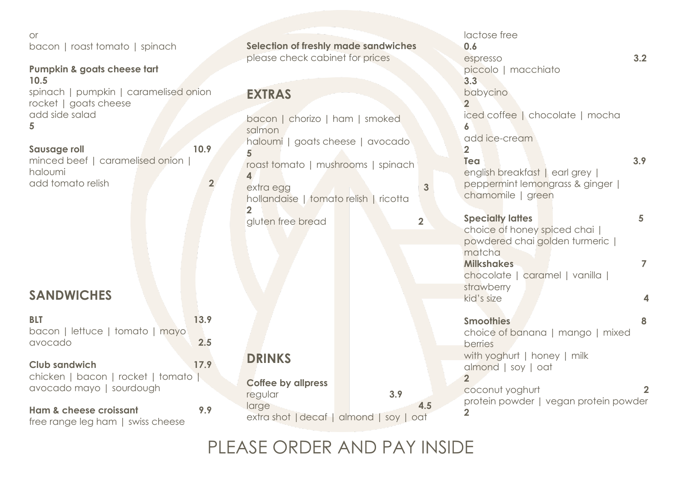or bacon | roast tomato | spinach

**Pumpkin & goats cheese tart 10.5** spinach | pumpkin | caramelised onion rocket | goats cheese add side salad **5**

**Sausage roll 10.9** minced beef | caramelised onion | haloumi add tomato relish **2**

# **SANDWICHES**

| <b>BLT</b><br>bacon   lettuce   tomato   mayo<br>avocado                                | 13.9<br>2.5 |
|-----------------------------------------------------------------------------------------|-------------|
| <b>Club sandwich</b><br>chicken   bacon   rocket   tomato  <br>avocado mayo   sourdough | 17.9        |
| Ham & cheese croissant<br>free range leg ham   swiss cheese                             | 9.9         |

**Selection of freshly made sandwiches** please check cabinet for prices

## **EXTRAS**

bacon | chorizo | ham | smoked salmon haloumi | goats cheese | avocado **5** roast tomato | mushrooms | spinach **4** extra egg **3** hollandaise | tomato relish | ricotta **2** gluten free bread **2 DRINKS Coffee by allpress**  regular **3.9** large **4.5**

extra shot |decaf | almond | soy | oat

lactose free **0.6** espresso **3.2** piccolo | macchiato **3.3** babycino **2** iced coffee | chocolate | mocha **6** add ice-cream **2 Tea 3.9** english breakfast | earl grey | peppermint lemongrass & ginger | chamomile | green **Specialty lattes 5** choice of honey spiced chai | powdered chai golden turmeric | matcha **Milkshakes 7** chocolate | caramel | vanilla | strawberry kid's size **4 Smoothies 8** choice of banana | mango | mixed berries with yoghurt | honey | milk almond | soy | oat **2 2 2** protein powder | vegan protein powder

**2**

PLEASE ORDER AND PAY INSIDE